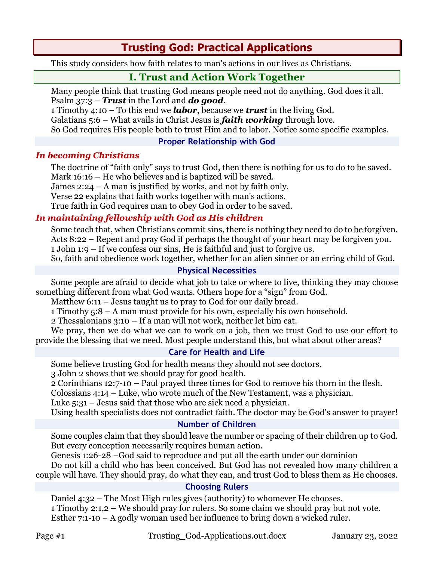# **Trusting God: Practical Applications**

This study considers how faith relates to man's actions in our lives as Christians.

# **I. Trust and Action Work Together**

Many people think that trusting God means people need not do anything. God does it all. Psalm 37:3 – *Trust* in the Lord and *do good*.

1 Timothy 4:10 – To this end we *labor*, because we *trust* in the living God.

Galatians 5:6 – What avails in Christ Jesus is *faith working* through love.

So God requires His people both to trust Him and to labor. Notice some specific examples.

## **Proper Relationship with God**

## *In becoming Christians*

The doctrine of "faith only" says to trust God, then there is nothing for us to do to be saved. Mark 16:16 – He who believes and is baptized will be saved.

James 2:24 – A man is justified by works, and not by faith only.

Verse 22 explains that faith works together with man's actions.

True faith in God requires man to obey God in order to be saved.

## *In maintaining fellowship with God as His children*

Some teach that, when Christians commit sins, there is nothing they need to do to be forgiven. Acts 8:22 – Repent and pray God if perhaps the thought of your heart may be forgiven you. 1 John 1:9 – If we confess our sins, He is faithful and just to forgive us.

So, faith and obedience work together, whether for an alien sinner or an erring child of God.

## **Physical Necessities**

Some people are afraid to decide what job to take or where to live, thinking they may choose something different from what God wants. Others hope for a "sign" from God.

Matthew 6:11 – Jesus taught us to pray to God for our daily bread.

1 Timothy 5:8 – A man must provide for his own, especially his own household.

2 Thessalonians 3:10 – If a man will not work, neither let him eat.

We pray, then we do what we can to work on a job, then we trust God to use our effort to provide the blessing that we need. Most people understand this, but what about other areas?

## **Care for Health and Life**

Some believe trusting God for health means they should not see doctors.

3 John 2 shows that we should pray for good health.

2 Corinthians 12:7-10 – Paul prayed three times for God to remove his thorn in the flesh.

Colossians 4:14 – Luke, who wrote much of the New Testament, was a physician.

Luke 5:31 – Jesus said that those who are sick need a physician.

Using health specialists does not contradict faith. The doctor may be God's answer to prayer!

## **Number of Children**

Some couples claim that they should leave the number or spacing of their children up to God. But every conception necessarily requires human action.

Genesis 1:26-28 –God said to reproduce and put all the earth under our dominion Do not kill a child who has been conceived. But God has not revealed how many children a couple will have. They should pray, do what they can, and trust God to bless them as He chooses.

## **Choosing Rulers**

Daniel 4:32 – The Most High rules gives (authority) to whomever He chooses. 1 Timothy 2:1,2 – We should pray for rulers. So some claim we should pray but not vote. Esther 7:1-10 – A godly woman used her influence to bring down a wicked ruler.